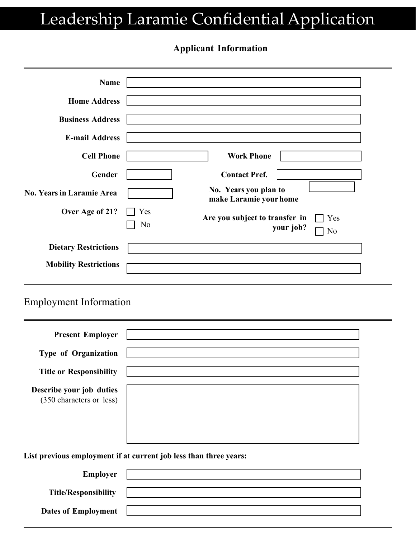# Leadership Laramie Confidential Application

#### **Applicant Information**

| <b>Name</b>                    |           |                                                 |                        |
|--------------------------------|-----------|-------------------------------------------------|------------------------|
| <b>Home Address</b>            |           |                                                 |                        |
| <b>Business Address</b>        |           |                                                 |                        |
| <b>E-mail Address</b>          |           |                                                 |                        |
| <b>Cell Phone</b>              |           | <b>Work Phone</b>                               |                        |
| Gender                         |           | <b>Contact Pref.</b>                            |                        |
| No. Years in Laramie Area      |           | No. Years you plan to<br>make Laramie your home |                        |
| Over Age of 21?                | Yes<br>No | Are you subject to transfer in                  | Yes<br>your job?<br>No |
| <b>Dietary Restrictions</b>    |           |                                                 |                        |
| <b>Mobility Restrictions</b>   |           |                                                 |                        |
| <b>Employment Information</b>  |           |                                                 |                        |
| <b>Present Employer</b>        |           |                                                 |                        |
| Type of Organization           |           |                                                 |                        |
| <b>Title or Responsibility</b> |           |                                                 |                        |
| Describe your job duties       |           |                                                 |                        |

(350 characters or less)

**List previous employment if at current job less than three years:** 

| <b>Employer</b>             |  |
|-----------------------------|--|
|                             |  |
| <b>Title/Responsibility</b> |  |
| <b>Dates of Employment</b>  |  |
|                             |  |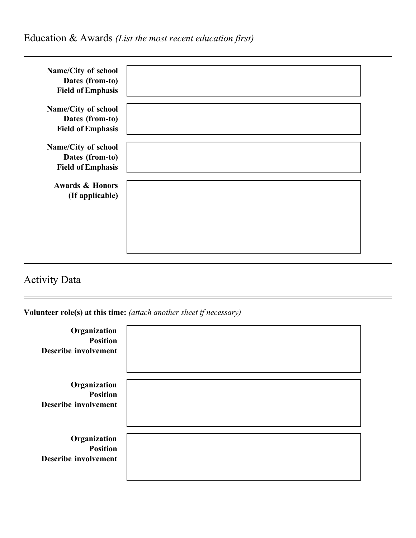| Name/City of school        |  |
|----------------------------|--|
| Dates (from-to)            |  |
| <b>Field of Emphasis</b>   |  |
| Name/City of school        |  |
| Dates (from-to)            |  |
| <b>Field of Emphasis</b>   |  |
|                            |  |
| Name/City of school        |  |
| Dates (from-to)            |  |
| <b>Field of Emphasis</b>   |  |
| <b>Awards &amp; Honors</b> |  |
| (If applicable)            |  |
|                            |  |
|                            |  |
|                            |  |
|                            |  |
|                            |  |

## Activity Data

**Volunteer role(s) at this time:** *(attach another sheet if necessary)* 

| Organization<br><b>Position</b><br><b>Describe involvement</b> |  |
|----------------------------------------------------------------|--|
| Organization<br><b>Position</b><br><b>Describe involvement</b> |  |
| Organization<br><b>Position</b><br><b>Describe involvement</b> |  |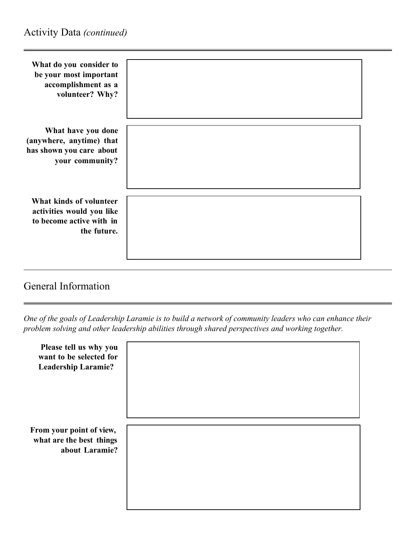| What do you consider to<br>be your most important<br>accomplishment as a<br>volunteer? Why?     |  |
|-------------------------------------------------------------------------------------------------|--|
| What have you done<br>(anywhere, anytime) that<br>has shown you care about<br>your community?   |  |
| What kinds of volunteer<br>activities would you like<br>to become active with in<br>the future. |  |

### General Information

*One of the goals of Leadership Laramie is to build a network of community leaders who can enhance their problem solving and other leadership abilities through shared perspectives and working together.* 

| Please tell us why you<br>want to be selected for<br><b>Leadership Laramie?</b> |  |
|---------------------------------------------------------------------------------|--|
| From your point of view,<br>what are the best things<br>about Laramie?          |  |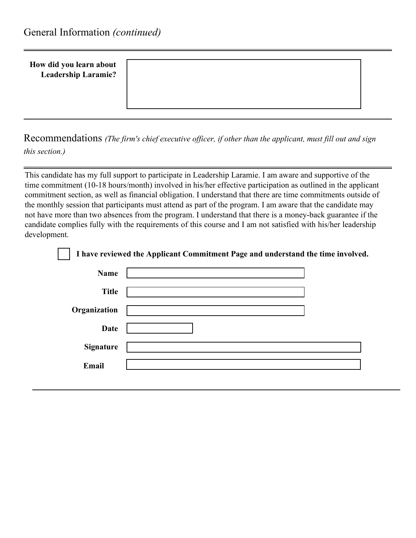#### **How did you learn about Leadership Laramie?**

Recommendations *(The firm's chief executive officer, if other than the applicant, must fill out and sign this section.)* 

This candidate has my full support to participate in Leadership Laramie. I am aware and supportive of the time commitment (10-18 hours/month) involved in his/her effective participation as outlined in the applicant commitment section, as well as financial obligation. I understand that there are time commitments outside of the monthly session that participants must attend as part of the program. I am aware that the candidate may not have more than two absences from the program. I understand that there is a money-back guarantee if the candidate complies fully with the requirements of this course and I am not satisfied with his/her leadership development.

|                  | I have reviewed the Applicant Commitment Page and understand the time involved. |
|------------------|---------------------------------------------------------------------------------|
| <b>Name</b>      |                                                                                 |
| <b>Title</b>     |                                                                                 |
| Organization     |                                                                                 |
| Date             |                                                                                 |
| <b>Signature</b> |                                                                                 |
| Email            |                                                                                 |
|                  |                                                                                 |